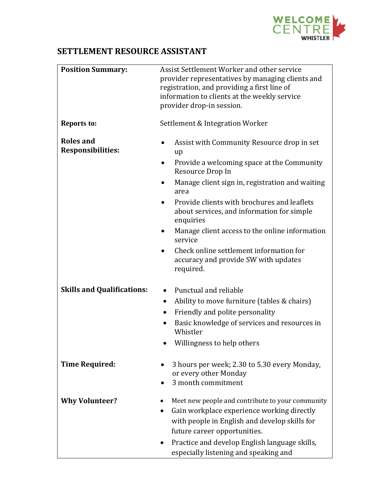

## **SETTLEMENT RESOURCE ASSISTANT**

| <b>Position Summary:</b>                     | Assist Settlement Worker and other service<br>provider representatives by managing clients and<br>registration, and providing a first line of<br>information to clients at the weekly service<br>provider drop-in session.                                                                                                                                                                                                                           |
|----------------------------------------------|------------------------------------------------------------------------------------------------------------------------------------------------------------------------------------------------------------------------------------------------------------------------------------------------------------------------------------------------------------------------------------------------------------------------------------------------------|
| <b>Reports to:</b>                           | Settlement & Integration Worker                                                                                                                                                                                                                                                                                                                                                                                                                      |
| <b>Roles and</b><br><b>Responsibilities:</b> | Assist with Community Resource drop in set<br>up<br>Provide a welcoming space at the Community<br>Resource Drop In<br>Manage client sign in, registration and waiting<br>area<br>Provide clients with brochures and leaflets<br>about services, and information for simple<br>enquiries<br>Manage client access to the online information<br>service<br>Check online settlement information for<br>accuracy and provide SW with updates<br>required. |
| <b>Skills and Qualifications:</b>            | Punctual and reliable<br>Ability to move furniture (tables & chairs)<br>$\bullet$<br>Friendly and polite personality<br>Basic knowledge of services and resources in<br>Whistler<br>Willingness to help others                                                                                                                                                                                                                                       |
| <b>Time Required:</b>                        | 3 hours per week; 2.30 to 5.30 every Monday,<br>or every other Monday<br>3 month commitment                                                                                                                                                                                                                                                                                                                                                          |
| <b>Why Volunteer?</b>                        | Meet new people and contribute to your community<br>Gain workplace experience working directly<br>$\bullet$<br>with people in English and develop skills for<br>future career opportunities.<br>Practice and develop English language skills,<br>$\bullet$<br>especially listening and speaking and                                                                                                                                                  |